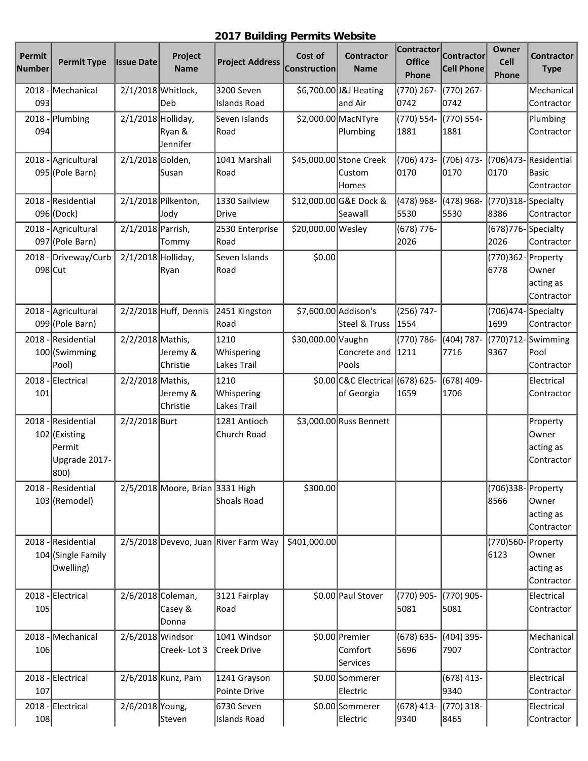## **2017 Building Permits Website**

| Permit<br>Number | <b>Permit Type</b>                                                     | <b>Issue Date</b>    | Project<br><b>Name</b>                | <b>Project Address</b>               | Cost of<br><b>Construction</b> | <b>Contractor</b><br><b>Name</b>               | <b>Contractor</b><br><b>Office</b><br>Phone | <b>Contractor</b><br><b>Cell Phone</b> | Owner<br>Cell<br>Phone        | <b>Contractor</b><br><b>Type</b>             |
|------------------|------------------------------------------------------------------------|----------------------|---------------------------------------|--------------------------------------|--------------------------------|------------------------------------------------|---------------------------------------------|----------------------------------------|-------------------------------|----------------------------------------------|
| 2018<br>093      | Mechanical                                                             |                      | 2/1/2018 Whitlock,<br>Deb             | 3200 Seven<br><b>Islands Road</b>    |                                | \$6,700.00 J&J Heating<br>and Air              | (770) 267-<br>0742                          | (770) 267-<br>0742                     |                               | Mechanical<br>Contractor                     |
| 2018<br>094      | Plumbing                                                               | $2/1/2018$ Holliday, | Ryan &<br>Jennifer                    | Seven Islands<br>Road                |                                | \$2,000.00 MacNTyre<br>Plumbing                | (770) 554-<br>1881                          | (770) 554-<br>1881                     |                               | Plumbing<br>Contractor                       |
| 2018             | Agricultural<br>095 (Pole Barn)                                        | 2/1/2018 Golden,     | lSusan                                | 1041 Marshall<br>Road                |                                | \$45,000.00 Stone Creek<br>lCustom<br>Homes    | (706) 473-<br>0170                          | (706) 473-<br>0170                     | (706) 473-<br>0170            | Residential<br><b>Basic</b><br>Contractor    |
| 2018             | Residential<br>096 (Dock)                                              |                      | 2/1/2018 Pilkenton,<br>Jody           | 1330 Sailview<br>Drive               |                                | \$12,000.00 G&E Dock &<br>Seawall              | (478) 968-<br>5530                          | (478) 968-<br>5530                     | (770)318-<br>8386             | Specialty<br>Contractor                      |
| 2018             | Agricultural<br>097 (Pole Barn)                                        | 2/1/2018 Parrish,    | Tommy                                 | 2530 Enterprise<br>Road              | \$20,000.00 Wesley             |                                                | (678) 776-<br>2026                          |                                        | (678) 776 - Specialty<br>2026 | Contractor                                   |
| 2018<br>098 Cut  | -Driveway/Curb                                                         | $2/1/2018$ Holliday, | Ryan                                  | Seven Islands<br>Road                | \$0.00                         |                                                |                                             |                                        | (770)362-<br>6778             | Property<br>Owner<br>acting as<br>Contractor |
|                  | 2018 - Agricultural<br>099 (Pole Barn)                                 |                      | $2/2/2018$ Huff, Dennis               | 2451 Kingston<br>Road                |                                | \$7,600.00 Addison's<br>Steel & Truss          | (256) 747-<br>1554                          |                                        | (706)474-Specialty<br>1699    | Contractor                                   |
|                  | 2018 - Residential<br>100 (Swimming<br>Pool)                           | 2/2/2018 Mathis,     | Jeremy &<br>Christie                  | 1210<br>Whispering<br>Lakes Trail    | \$30,000.00 Vaughn             | Concrete and<br>Pools                          | (770) 786-<br>1211                          | (404) 787-<br>7716                     | (770)712-<br>9367             | Swimming<br>Pool<br>Contractor               |
| 101              | 2018 - Electrical                                                      | 2/2/2018 Mathis,     | Jeremy &<br>Christie                  | 1210<br>Whispering<br>Lakes Trail    |                                | \$0.00 C&C Electrical (678) 625-<br>of Georgia | 1659                                        | (678) 409-<br>1706                     |                               | Electrical<br>Contractor                     |
|                  | 2018 - Residential<br>102 (Existing<br>Permit<br>Upgrade 2017-<br>800) | 2/2/2018 Burt        |                                       | 1281 Antioch<br>Church Road          |                                | \$3,000.00 Russ Bennett                        |                                             |                                        |                               | Property<br>Owner<br>acting as<br>Contractor |
| 2018             | - Residential<br>103 (Remodel)                                         |                      | 2/5/2018 Moore, Brian 3331 High       | Shoals Road                          | \$300.00]                      |                                                |                                             |                                        | (706)338- Property<br>8566    | Owner<br>acting as<br>Contractor             |
|                  | 2018 - Residential<br>104 (Single Family<br>Dwelling)                  |                      |                                       | 2/5/2018 Devevo, Juan River Farm Way | \$401,000.00                   |                                                |                                             |                                        | (770)560- Property<br>6123    | Owner<br>acting as<br>Contractor             |
| 2018<br>105      | -Electrical                                                            |                      | 2/6/2018 Coleman,<br>Casey &<br>Donna | 3121 Fairplay<br>Road                |                                | \$0.00 Paul Stover                             | (770) 905-<br>5081                          | (770) 905-<br>5081                     |                               | Electrical<br>Contractor                     |
| 2018<br>106      | Mechanical                                                             | 2/6/2018 Windsor     | Creek-Lot 3                           | 1041 Windsor<br><b>Creek Drive</b>   |                                | \$0.00 Premier<br>Comfort<br>Services          | (678) 635-<br>5696                          | (404) 395-<br>7907                     |                               | Mechanical<br>Contractor                     |
| 107              | 2018 - Electrical                                                      |                      | 2/6/2018 Kunz, Pam                    | 1241 Grayson<br>Pointe Drive         |                                | \$0.00 Sommerer<br>Electric                    |                                             | $(678)$ 413-<br>9340                   |                               | Electrical<br>Contractor                     |
| 108              | 2018 - Electrical                                                      | 2/6/2018 Young,      | Steven                                | 6730 Seven<br><b>Islands Road</b>    |                                | \$0.00 Sommerer<br>Electric                    | $(678)$ 413-<br>9340                        | (770) 318-<br>8465                     |                               | Electrical<br>Contractor                     |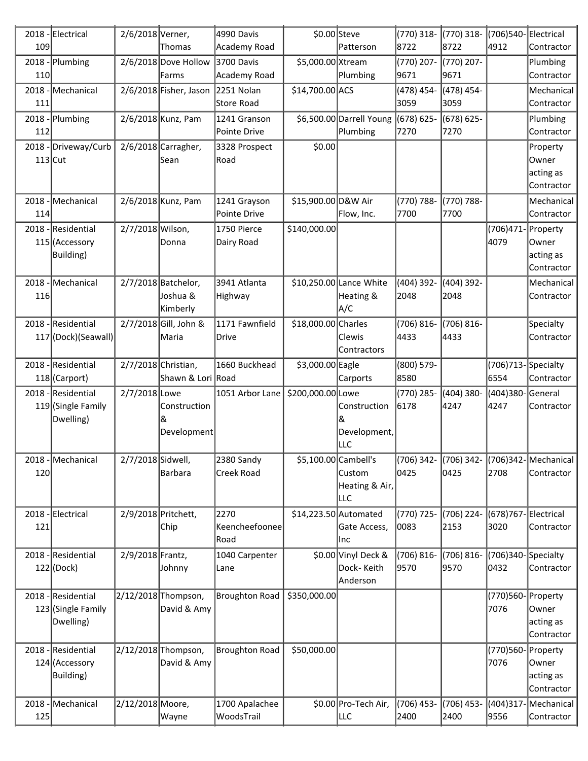|             | 2018 - Electrical                                     | 2/6/2018 Verner,  |                                             | 4990 Davis                      |                     | \$0.00 Steve                                             | (770) 318-           | (770) 318-         | (706)540-Electrical        |                                               |
|-------------|-------------------------------------------------------|-------------------|---------------------------------------------|---------------------------------|---------------------|----------------------------------------------------------|----------------------|--------------------|----------------------------|-----------------------------------------------|
| 109         |                                                       |                   | Thomas                                      | Academy Road                    |                     | Patterson                                                | 8722                 | 8722               | 4912                       | Contractor                                    |
| 2018<br>110 | Plumbing                                              |                   | 2/6/2018 Dove Hollow<br>Farms               | 3700 Davis<br>Academy Road      | \$5,000.00 Xtream   | Plumbing                                                 | (770) 207-<br>9671   | (770) 207-<br>9671 |                            | Plumbing<br>Contractor                        |
| 2018<br>111 | Mechanical                                            |                   | 2/6/2018 Fisher, Jason                      | 2251 Nolan<br><b>Store Road</b> | \$14,700.00 ACS     |                                                          | (478) 454-<br>3059   | (478) 454-<br>3059 |                            | Mechanical<br>Contractor                      |
| 2018        | -Plumbing                                             |                   | 2/6/2018 Kunz, Pam                          | 1241 Granson                    |                     | \$6,500.00 Darrell Young                                 | (678) 625-           | (678) 625-         |                            | Plumbing                                      |
| 112         |                                                       |                   |                                             | Pointe Drive                    |                     | Plumbing                                                 | 7270                 | 7270               |                            | Contractor                                    |
| $113$ Cut   | 2018 - Driveway/Curb                                  |                   | $2/6/2018$ Carragher,<br>Sean               | 3328 Prospect<br>Road           | \$0.00              |                                                          |                      |                    |                            | Property<br>Owner<br>acting as                |
|             |                                                       |                   |                                             |                                 |                     |                                                          |                      |                    |                            | Contractor                                    |
| 2018<br>114 | Mechanical                                            |                   | 2/6/2018 Kunz, Pam                          | 1241 Grayson<br>Pointe Drive    | \$15,900.00 D&W Air | Flow, Inc.                                               | (770) 788-<br>7700   | (770) 788-<br>7700 |                            | Mechanical<br>Contractor                      |
| 2018        | - Residential<br>115 (Accessory<br>Building)          | 2/7/2018 Wilson,  | Donna                                       | 1750 Pierce<br>Dairy Road       | \$140,000.00        |                                                          |                      |                    | (706) 471-<br>4079         | Property<br>Owner<br>acting as<br>Contractor  |
| 2018<br>116 | Mechanical                                            |                   | 2/7/2018 Batchelor,<br>Joshua &<br>Kimberly | 3941 Atlanta<br>Highway         |                     | \$10,250.00 Lance White<br>Heating &<br>A/C              | (404) 392-<br>2048   | (404) 392-<br>2048 |                            | Mechanical<br>Contractor                      |
| 2018        | - Residential<br>117 (Dock) (Seawall)                 |                   | 2/7/2018 Gill, John &<br>∣Maria             | 1171 Fawnfield<br><b>Drive</b>  | \$18,000.00 Charles | Clewis<br>Contractors                                    | (706) 816-<br>4433   | (706) 816-<br>4433 |                            | Specialty<br>Contractor                       |
| 2018        | Residential<br>118 (Carport)                          |                   | 2/7/2018 Christian,<br>Shawn & Lori Road    | 1660 Buckhead                   | \$3,000.00 Eagle    | Carports                                                 | (800) 579-<br>8580   |                    | (706)713-Specialty<br>6554 | Contractor                                    |
| 2018        | -Residential<br>119 (Single Family<br>Dwelling)       | 2/7/2018 Lowe     | Construction<br>&<br>Development            | 1051 Arbor Lane                 | \$200,000.00 Lowe   | Construction<br>&<br>Development,<br>lllc                | (770) 285-<br>6178   | (404) 380-<br>4247 | (404)380-<br>4247          | General<br>Contractor                         |
| 120         | 2018 - Mechanical                                     | 2/7/2018 Sidwell, | Barbara                                     | 2380 Sandy<br>Creek Road        |                     | \$5,100.00 Cambell's<br>Custom<br>Heating & Air,<br>lllc | $(706)$ 342-<br>0425 | 0425               | 2708                       | (706) 342- (706) 342-Mechanical<br>Contractor |
| 121         | 2018 - Electrical                                     |                   | 2/9/2018 Pritchett,<br>Chip                 | 2270<br>Keencheefoonee<br>Road  |                     | \$14,223.50 Automated<br>Gate Access,<br> Inc            | (770) 725-<br>0083   | (706) 224-<br>2153 | (678)767-<br>3020          | Electrical<br>Contractor                      |
| 2018        | - Residential<br>$122$ (Dock)                         | 2/9/2018 Frantz,  | Johnny                                      | 1040 Carpenter<br>Lane          |                     | \$0.00 Vinyl Deck &<br>Dock-Keith<br>Anderson            | (706) 816-<br>9570   | (706) 816-<br>9570 | (706)340-Specialty<br>0432 | Contractor                                    |
|             | 2018 - Residential<br>123 (Single Family<br>Dwelling) |                   | 2/12/2018 Thompson,<br>David & Amy          | <b>Broughton Road</b>           | \$350,000.00        |                                                          |                      |                    | (770)560-Property<br>7076  | Owner<br>acting as<br>Contractor              |
| 2018        | -Residential<br>124 (Accessory<br>Building)           |                   | 2/12/2018 Thompson,<br>David & Amy          | <b>Broughton Road</b>           | \$50,000.00         |                                                          |                      |                    | (770)560-Property<br>7076  | Owner<br>acting as<br>Contractor              |
| 2018        | Mechanical                                            | 2/12/2018 Moore,  |                                             | 1700 Apalachee                  |                     | \$0.00 Pro-Tech Air,                                     | (706) 453-           | (706) 453-         | (404)317-                  | Mechanical                                    |
| 125         |                                                       |                   | Wayne                                       | WoodsTrail                      |                     | ∣LLC                                                     | 2400                 | 2400               | 9556                       | Contractor                                    |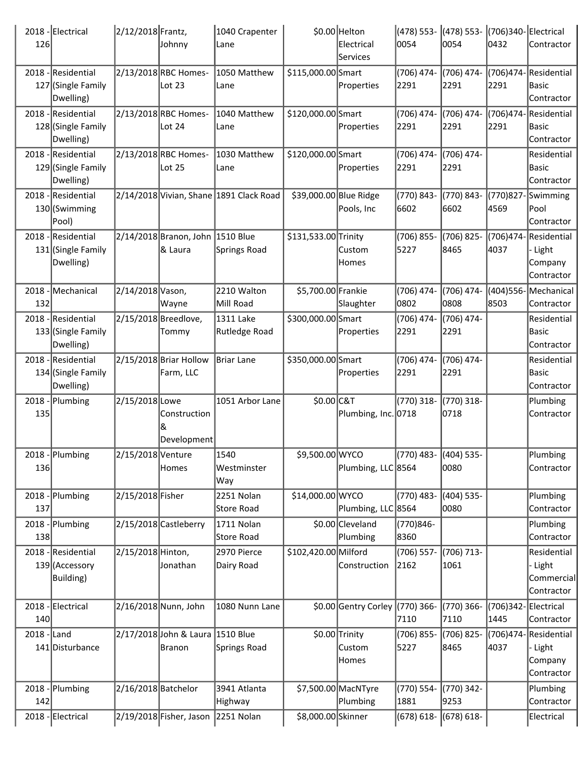| 126          | 2018 - Electrical                                     | 2/12/2018 Frantz,   | Johnny                                      | 1040 Crapenter<br>Lane                  |                        | \$0.00 Helton<br>Electrical<br>Services | 0054                  | (478) 553- (478) 553- (706)340- Electrical<br>0054 | 0432                        | Contractor                                               |
|--------------|-------------------------------------------------------|---------------------|---------------------------------------------|-----------------------------------------|------------------------|-----------------------------------------|-----------------------|----------------------------------------------------|-----------------------------|----------------------------------------------------------|
|              | 2018 - Residential<br>127 (Single Family<br>Dwelling) |                     | 2/13/2018 RBC Homes-<br>Lot $23$            | 1050 Matthew<br>Lane                    | \$115,000.00 Smart     | Properties                              | (706) 474-<br>2291    | (706) 474-<br>2291                                 | (706)474-<br>2291           | Residential<br> Basic<br>Contractor                      |
|              | 2018 - Residential<br>128 (Single Family<br>Dwelling) |                     | 2/13/2018 RBC Homes-<br>Lot 24              | 1040 Matthew<br> Lane                   | \$120,000.00 Smart     | Properties                              | (706) 474-<br>2291    | (706) 474-<br>2291                                 | (706)474-<br>2291           | Residential<br> Basic<br>Contractor                      |
|              | 2018 - Residential<br>129 (Single Family<br>Dwelling) |                     | 2/13/2018RBC Homes-<br>Lot 25               | 1030 Matthew<br>Lane                    | \$120,000.00 Smart     | Properties                              | (706) 474-<br>2291    | (706) 474-<br>2291                                 |                             | Residential<br> Basic<br>Contractor                      |
|              | 2018 - Residential<br>130 (Swimming<br>Pool)          |                     |                                             | 2/14/2018 Vivian, Shane 1891 Clack Road | \$39,000.00 Blue Ridge | Pools, Inc                              | (770) 843-<br>6602    | (770) 843-<br>6602                                 | (770)827-<br>4569           | Swimming<br> Pool<br>Contractor                          |
|              | 2018 - Residential<br>131 (Single Family<br>Dwelling) |                     | 2/14/2018 Branon, John 1510 Blue<br>8 Laura | <b>Springs Road</b>                     | \$131,533.00 Trinity   | Custom<br>Homes                         | (706) 855-<br>5227    | (706) 825-<br>8465                                 | 4037                        | (706)474-Residential<br>- Light<br>Company<br>Contractor |
| 132          | 2018 - Mechanical                                     | 2/14/2018 Vason,    | Wayne                                       | 2210 Walton<br>Mill Road                | \$5,700.00 Frankie     | Slaughter                               | (706) 474-<br>0802    | (706) 474-<br>0808                                 | 8503                        | (404)556-Mechanical<br>Contractor                        |
|              | 2018 - Residential<br>133 (Single Family<br>Dwelling) |                     | 2/15/2018 Breedlove,<br>Tommy               | 1311 Lake<br>Rutledge Road              | \$300,000.00 Smart     | Properties                              | (706) 474-<br>2291    | (706) 474-<br>2291                                 |                             | Residential<br>Basic<br>Contractor                       |
|              | 2018 - Residential<br>134 (Single Family<br>Dwelling) |                     | 2/15/2018 Briar Hollow<br>Farm, LLC         | Briar Lane                              | \$350,000.00 Smart     | Properties                              | (706) 474-<br>2291    | (706) 474-<br>2291                                 |                             | Residential<br> Basic<br>Contractor                      |
| 135          | 2018 - Plumbing                                       | 2/15/2018 Lowe      | Construction<br>Development                 | 1051 Arbor Lane                         | \$0.00 C&T             | Plumbing, Inc. 0718                     | (770) 318-            | (770) 318-<br>0718                                 |                             | Plumbing<br>Contractor                                   |
| <b>136</b>   | 2018 - Plumbing                                       | 2/15/2018 Venture   | Homes                                       | 1540<br>Westminster<br>Way              | \$9,500.00 WYCO        | Plumbing, LLC 8564                      | (770) 483- (404) 535- | 0080                                               |                             | Plumbing<br>Contractor                                   |
|              | 2018 - Plumbing                                       | 2/15/2018 Fisher    |                                             | 2251 Nolan                              | \$14,000.00 WYCO       |                                         | (770) 483-            | (404) 535-<br>0080                                 |                             | Plumbing                                                 |
| 137          | 2018 - Plumbing                                       |                     | 2/15/2018 Castleberry                       | <b>Store Road</b><br>1711 Nolan         |                        | Plumbing, LLC 8564<br>\$0.00 Cleveland  | (770)846-             |                                                    |                             | Contractor<br>Plumbing                                   |
| 138          |                                                       |                     |                                             | <b>Store Road</b>                       |                        | Plumbing                                | 8360                  |                                                    |                             | Contractor                                               |
|              | 2018 - Residential<br>139 (Accessory<br>Building)     | 2/15/2018 Hinton,   | Jonathan                                    | 2970 Pierce<br>Dairy Road               | \$102,420.00 Milford   | Construction                            | (706) 557-<br>2162    | (706) 713-<br>1061                                 |                             | Residential<br>- Light<br>Commercial<br>Contractor       |
| 140          | 2018 - Electrical                                     |                     | 2/16/2018 Nunn, John                        | 1080 Nunn Lane                          |                        | \$0.00 Gentry Corley (770) 366-         | 7110                  | $(770)$ 366-<br>7110                               | (706)342-Electrical<br>1445 | Contractor                                               |
| $2018$ -Land | 141 Disturbance                                       |                     | 2/17/2018 John & Laura 1510 Blue<br>Branon  | <b>Springs Road</b>                     |                        | \$0.00 Trinity<br>Custom<br>Homes       | (706) 855-<br>5227    | (706) 825-<br>8465                                 | 4037                        | (706)474-Residential<br>- Light<br>Company<br>Contractor |
|              | 2018 - Plumbing                                       | 2/16/2018 Batchelor |                                             | 3941 Atlanta                            |                        | \$7,500.00 MacNTyre                     | (770) 554-            | (770) 342-                                         |                             | Plumbing                                                 |
| 142          |                                                       |                     |                                             | Highway                                 |                        | Plumbing                                | 1881                  | 9253                                               |                             | Contractor                                               |
|              | 2018 - Electrical                                     |                     | 2/19/2018 Fisher, Jason 2251 Nolan          |                                         | \$8,000.00 Skinner     |                                         | (678) 618- (678) 618- |                                                    |                             | Electrical                                               |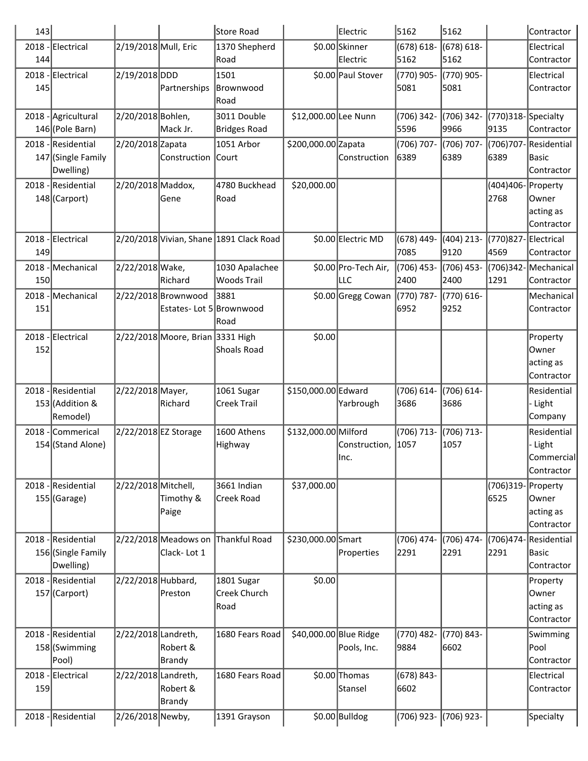| 143  |                                                       |                      |                                                 | Store Road                              |                        | Electric                     | 5162                  | 5162                  |                              | Contractor                                         |
|------|-------------------------------------------------------|----------------------|-------------------------------------------------|-----------------------------------------|------------------------|------------------------------|-----------------------|-----------------------|------------------------------|----------------------------------------------------|
| 144  | 2018 - Electrical                                     | 2/19/2018 Mull, Eric |                                                 | 1370 Shepherd<br>Road                   |                        | \$0.00 Skinner<br>Electric   | $(678) 618 -$<br>5162 | $(678) 618 -$<br>5162 |                              | Electrical<br>Contractor                           |
| 145  | 2018 - Electrical                                     | 2/19/2018 DDD        | Partnerships                                    | 1501<br>Brownwood<br>Road               |                        | \$0.00 Paul Stover           | (770) 905-<br>5081    | (770) 905-<br>5081    |                              | Electrical<br>Contractor                           |
|      | 2018 - Agricultural<br>146 (Pole Barn)                | 2/20/2018 Bohlen,    | Mack Jr.                                        | 3011 Double<br>Bridges Road             | \$12,000.00 Lee Nunn   |                              | $(706)$ 342-<br>5596  | (706) 342-<br>9966    | (770)318-Specialty<br>9135   | Contractor                                         |
|      | 2018 - Residential<br>147 (Single Family<br>Dwelling) | 2/20/2018 Zapata     | Construction Court                              | 1051 Arbor                              | \$200,000.00 Zapata    | Construction                 | (706) 707-<br>6389    | (706) 707-<br>6389    | (706)707-<br>6389            | Residential<br>Basic<br>Contractor                 |
|      | 2018 - Residential<br>148 (Carport)                   | 2/20/2018 Maddox,    | Gene                                            | 4780 Buckhead<br>Road                   | \$20,000.00            |                              |                       |                       | (404)406-Property<br>2768    | Owner<br>acting as<br>Contractor                   |
| 149  | 2018 - Electrical                                     |                      |                                                 | 2/20/2018 Vivian, Shane 1891 Clack Road |                        | \$0.00 Electric MD           | (678) 449-<br>7085    | $(404)$ 213-<br>9120  | (770)827-Electrical<br>4569  | Contractor                                         |
| 150  | 2018 - Mechanical                                     | 2/22/2018 Wake,      | Richard                                         | 1030 Apalachee<br><b>Woods Trail</b>    |                        | \$0.00 Pro-Tech Air,<br> LLC | (706) 453-<br>2400    | (706) 453-<br>2400    | (706)342- Mechanical<br>1291 | Contractor                                         |
| 151  | 2018 - Mechanical                                     |                      | 2/22/2018 Brownwood<br>Estates- Lot 5 Brownwood | 3881<br>Road                            |                        | \$0.00 Gregg Cowan           | $(770) 787 -$<br>6952 | (770) 616-<br>9252    |                              | Mechanical<br>Contractor                           |
| 152  | 2018 - Electrical                                     |                      | 2/22/2018 Moore, Brian 3331 High                | Shoals Road                             | \$0.00                 |                              |                       |                       |                              | Property<br>Owner<br>acting as<br>Contractor       |
|      | 2018 - Residential<br>153 (Addition &<br>Remodel)     | 2/22/2018 Mayer,     | Richard                                         | 1061 Sugar<br>Creek Trail               | \$150,000.00 Edward    | Yarbrough                    | (706) 614-<br>3686    | (706) 614-<br>3686    |                              | Residential<br>- Light<br>Company                  |
| 2018 | Commerical<br>154 (Stand Alone)                       | 2/22/2018 EZ Storage |                                                 | 1600 Athens<br>Highway                  | \$132,000.00 Milford   | Construction,<br>llnc.       | (706) 713-<br>1057    | (706) 713-<br>1057    |                              | Residential<br>- Light<br>Commercial<br>Contractor |
|      | 2018 - Residential<br>$155$ (Garage)                  | 2/22/2018 Mitchell,  | Timothy &<br>Paige                              | 3661 Indian<br>Creek Road               | \$37,000.00            |                              |                       |                       | (706)319- Property<br>6525   | Owner<br>acting as<br>Contractor                   |
|      | 2018 - Residential<br>156 (Single Family<br>Dwelling) |                      | 2/22/2018 Meadows on<br>Clack-Lot 1             | Thankful Road                           | \$230,000.00 Smart     | Properties                   | $(706)$ 474-<br>2291  | (706) 474-<br>2291    | (706)474-<br>2291            | Residential<br><b>Basic</b><br>Contractor          |
|      | 2018 - Residential<br>157 (Carport)                   | 2/22/2018 Hubbard,   | Preston                                         | 1801 Sugar<br>Creek Church<br>Road      | \$0.00                 |                              |                       |                       |                              | Property<br>Owner<br>acting as<br>Contractor       |
|      | 2018 - Residential<br>158 (Swimming<br>Pool)          | 2/22/2018 Landreth,  | Robert &<br>Brandy                              | 1680 Fears Road                         | \$40,000.00 Blue Ridge | Pools, Inc.                  | (770) 482-<br>9884    | (770) 843-<br>6602    |                              | Swimming<br>Pool<br>Contractor                     |
| 159  | 2018 - Electrical                                     | 2/22/2018 Landreth,  | Robert &<br><b>Brandy</b>                       | 1680 Fears Road                         |                        | \$0.00 Thomas<br>Stansel     | $(678) 843 -$<br>6602 |                       |                              | Electrical<br>Contractor                           |
|      | 2018 - Residential                                    | 2/26/2018 Newby,     |                                                 | 1391 Grayson                            |                        | \$0.00 Bulldog               | (706) 923- (706) 923- |                       |                              | Specialty                                          |